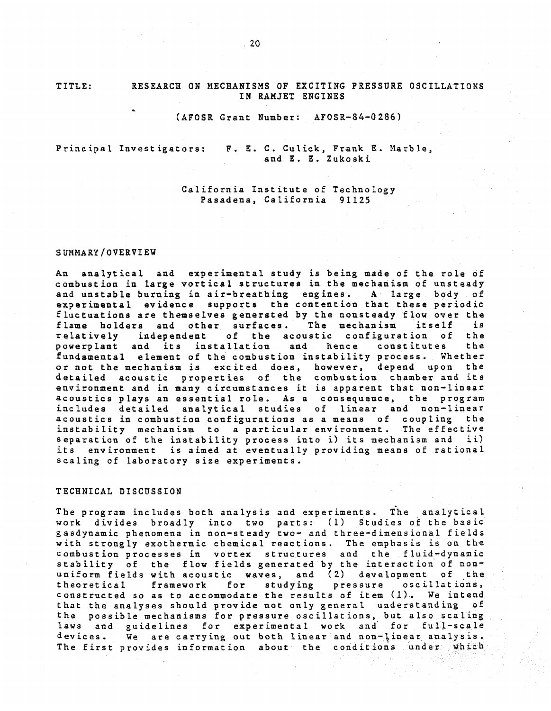TITLE:

## RESEARCH ON MECHANISMS OF EXCITING PRESSURE OSCILLATIONS IN RAMJET ENGINES

## (AFOSR Grant Number: AFOSR-84-0 286)

Principal Investigators: F. E. C. Culick, Frank E. Marble, and E. E. Zukoski

> California Institute of Technology Pasadena, California 91125

## SUMMARY /OVERVIEW

An analytical and experimental study is being made of the role of combustion in large vortical structures in the mechanism of unsteady and unstable burning in air-breathing engines. A large body of experimental evidence supports the contention that these periodic fluctuations are themselves generated by the nonsteady flow over the<br>flame holders and other surfaces. The mechanism itself is flame holders and other surfaces. The mechanism itself is<br>relatively independent of the acoustic configuration of the independent of the acoustic configuration of the<br>and its installation and hence constitutes the powerplant and its installation fundamental element of the combustion instability process. Whether or not the mechanism is excited does, however, depend upon the detailed acoustic properties of the combustion chamber and its environment and in many circumstances it is apparent that non-linear acoustics plays an essential role. As a consequence, the program includes detailed analytical studies of linear and non-linear acoustics in combustion configurations as a means of coupling the instability mechanism to a particular environment. The effective separation of the instability process into i) its mechanism and ii) its environment is aimed at eventually providing means of rational scaling of laboratory size experiments.

## TECHNICAL DISCUSSION

The program includes both analysis and experiments. The analytical work divides broadly into two parts: (1) Studies of the basic gasdynamic phenomena in non-steady two- and three-dimensional fields with strongly exothermic chemical reactions. The emphasis is on the combustion processes in vortex structures and the fluid-dynamic stability of the flow fields generated by the interaction of nonuniform fields with acoustic waves, and (2) development of the theoretical framework for studying pressure oscillations, theoretical framework for studying pressure oscillations,<br>constructed so as to accommodate the results of item (1). We intend that the analyses should provide not only general understanding of the possible mechanisms for pressure oscillations, but also scaling laws and guidelines for experimental work and for full-scale<br>devices. We are carrying out both linear and non-linear analysis. We are carrying out both linear and non-linear analysis. The first provides information about the conditions under which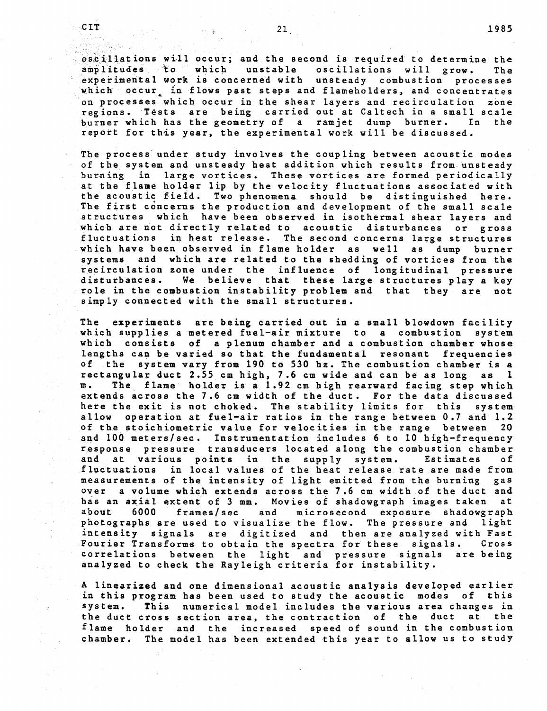oscillations will occur; and the second is required to determine the<br>amplitudes to which unstable oscillations will grow. The oscillations will grow. experimental work is concerned with unsteady combustion processes which occur<sub>r</sub> in flows past steps and flameholders, and concentrates on processes which occur in the shear layers and recirculation zone regions. Tests are being carried out at Caltech in a small scale burner which has the geometry of a ramjet dump burner. In repott for this year, the experimental work will be discussed.

The process under study involves the coupling between acoustic modes of the system and unsteady heat addition which results from.unsteady burning in large vortices. These vortices are formed periodically at the flame holder lip by the velocity fluctuations associated with the acoustic field. Two phenomena should be distinguished here. The first concerns the production and development of the small scale structures which have been observed in isothermal shear layers and which are not directly related to acoustic disturbances or gross fluctuations in heat release. The second concerns large structures which have been observed in flame holder as well as dump burner systems and which are related to the shedding of vortices from the recirculation zone under the influence of longitudinal pressure disturbances. We believe that these large structures play a key role in the combustion instability problem and that they are not simply connected with the small structures.

The experiments are being carried out in a small blowdown facility which supplies a metered fuel-air mixture to a combustion system which consists of a plenum chamber and a combustion chamber whose lengths can be varied so that the fundamental resonant frequencies of the system vary from 190 to 530 hz. The combustion chamber is a rectangular duct 2.55 cm bigh. 7.6 cm wide and can be as long as 1 rectangular duct 2.55 cm high, 7.6 cm wide and can be as long as  $m$ . The flame holder is a 1.92 cm high rearward facing step which The flame holder is a 1.92 cm high rearward facing step which extends across the 7.6 cm width of the duct. For the data discussed here the exit is not choked. The stability limits for this system allow operation at fuel-air ratios in the range between 0.7 and 1.2 of the stoichiometric value for velocities in the range between 20 and 100 meters/sec. Instrumentation includes 6 to 10 high-frequency response pressure transducers located along the combustion chamber and at various points in the supply system. Estimates of fluctuations in local values of the heat release rate are made from measurements of the intensity of light emitted from the burning gas over a volume which extends across the 7.6 cm width of the duct and has an axial extent of 3 mm. Movies of shadowgraph images taken<br>about 6000 frames/sec and microsecond exposure shadowgra microsecond exposure shadowgraph photographs are used to visualize the flow. The pressure and light intensity signals are digitized and then are analyzed with Fast Fourier Transforms to obtain the spectra for these signals. correlations between the light and pressure signals are being analyzed to check the Rayleigh criteria for instability.

A linearized and one dimensional acoustic analysis developed earlier in this program has been used to study the acoustic modes of this system. This numerical model includes the various area changes in the duct cross section area, the contraction of the duct at the flame holder and the increased speed of sound in the combustion chamber. The model has been extended this year to allow us to study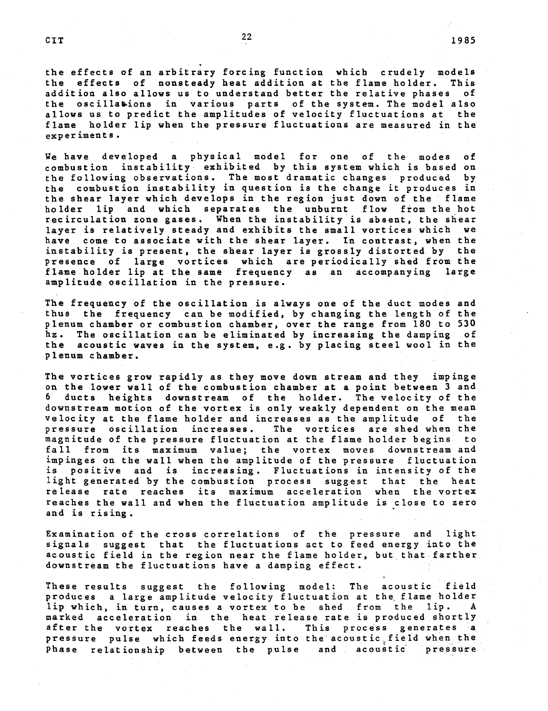the effects of an arbitrary forcing function which crudely models<br>the effects of nonsteady heat addition at the flame holder. This the effects of nonsteady heat addition at the flame holder. This<br>addition also allows us to understand better the relative phases of addition also allows us to understand better the relative phases the oscillations in various parts of the system. The model also allows us to predict the amplitudes of velocity fluctuations at the flame holder lip when the pressure fluctuations are measured in the experiments.

We have developed a physical model for one of the modes of combustion instability exhibited by this system which is based on the following observations. The most dramatic changes produced by the combustion instability in question is the change it produces in the shear layer which develops in the region just down of the flame holder lip and which separates the unburnt flow from the hot recirculation zone gases. When the instability is absent, the shear layer is relatively steady and exhibits the small vortices which we have come to associate with the shear layer. In contrast, when the instability is present, the shear layer is grossly distorted by the presence of large vortices which are periodically shed from the flame holder lip at the same frequency as an accompanying large amplitude oscillation in the pressure.

The frequency of the oscillation is always one of the duct modes and thus the frequency can be modified, by changing the length of the plenum chamber or combustion chamber, over the range from 180 to 530 hz. The oscillation can be eliminated by increasing the damping of the acoustic waves in the system, e.g. by placing steel wool in the plenum chamber.

The vortices grow rapidly as they move down stream and they impinge on the lower wall of the combustion chamber at a point between 3 and 6 ducts heights downstream of the holder. The velocity of the downstream motion of the vortex is only weakly dependent on the mean velocity at the flame holder and increases as the amplitude of the<br>pressure oscillation increases. The vortices are shed when the pressure oscillation increases. magnitude of the pressure fluctuation at the flame holder begins to fall from its maximum value; the vortex moves downstream and impinges on the wall when the amplitude of the pressure fluctuation is positive and is increasing. Fluctuations in intensity of the light generated by the combustion process suggest that the heat release rate reaches its maximum acceleration when the vortex reaches the wall and when the fluctuation amplitude is close to zero and is rising.

Examination of the cross correlations of the pressure and light signals suggest that the fluctuations act to feed energy into the acoustic field in the region near the flame holder, but that farther downstream the fluctuations have a damping effect.

These results suggest the following model: The acoustic field produces a large amplitude velocity fluctuation at the flame holder lip which, in turn, causes a vortex to be shed from the lip. A marked acceleration in the heat release rate is produced shortly after the vortex reaches the wall. This process generates a pressure pulse which feeds energy into the acoustic field when the Phase relationship between the pulse and acoustic pressure